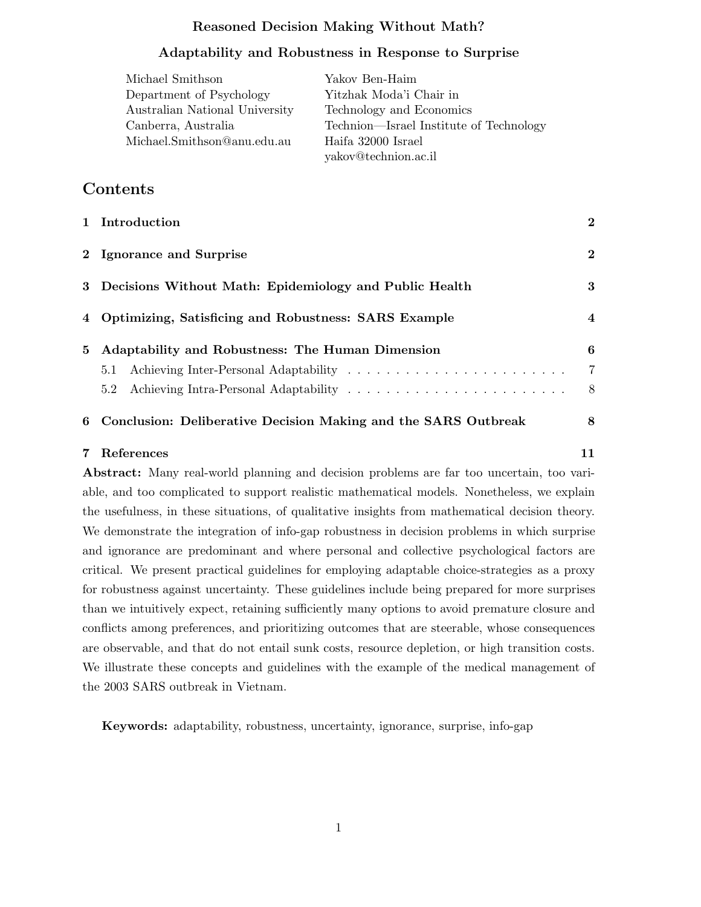#### Reasoned Decision Making Without Math?

#### Adaptability and Robustness in Response to Surprise

| Michael Smithson               | Yakov Ben-Haim                          |
|--------------------------------|-----------------------------------------|
| Department of Psychology       | Yitzhak Moda'i Chair in                 |
| Australian National University | Technology and Economics                |
| Canberra, Australia            | Technion—Israel Institute of Technology |
| Michael.Smithson@anu.edu.au    | Haifa 32000 Israel                      |
|                                | yakov@technion.ac.il                    |

### Contents

|             | 1 Introduction                                                   | $\bf{2}$ |
|-------------|------------------------------------------------------------------|----------|
|             | 2 Ignorance and Surprise                                         | $\bf{2}$ |
|             | 3 Decisions Without Math: Epidemiology and Public Health         | 3        |
|             | 4 Optimizing, Satisficing and Robustness: SARS Example           | 4        |
| $5^{\circ}$ | Adaptability and Robustness: The Human Dimension                 | 6        |
|             | 5.1                                                              | 7        |
|             | 5.2                                                              | - 8      |
|             | 6 Conclusion: Deliberative Decision Making and the SARS Outbreak | 8        |

#### 7 References 11

Abstract: Many real-world planning and decision problems are far too uncertain, too variable, and too complicated to support realistic mathematical models. Nonetheless, we explain the usefulness, in these situations, of qualitative insights from mathematical decision theory. We demonstrate the integration of info-gap robustness in decision problems in which surprise and ignorance are predominant and where personal and collective psychological factors are critical. We present practical guidelines for employing adaptable choice-strategies as a proxy for robustness against uncertainty. These guidelines include being prepared for more surprises than we intuitively expect, retaining sufficiently many options to avoid premature closure and conflicts among preferences, and prioritizing outcomes that are steerable, whose consequences are observable, and that do not entail sunk costs, resource depletion, or high transition costs. We illustrate these concepts and guidelines with the example of the medical management of the 2003 SARS outbreak in Vietnam.

Keywords: adaptability, robustness, uncertainty, ignorance, surprise, info-gap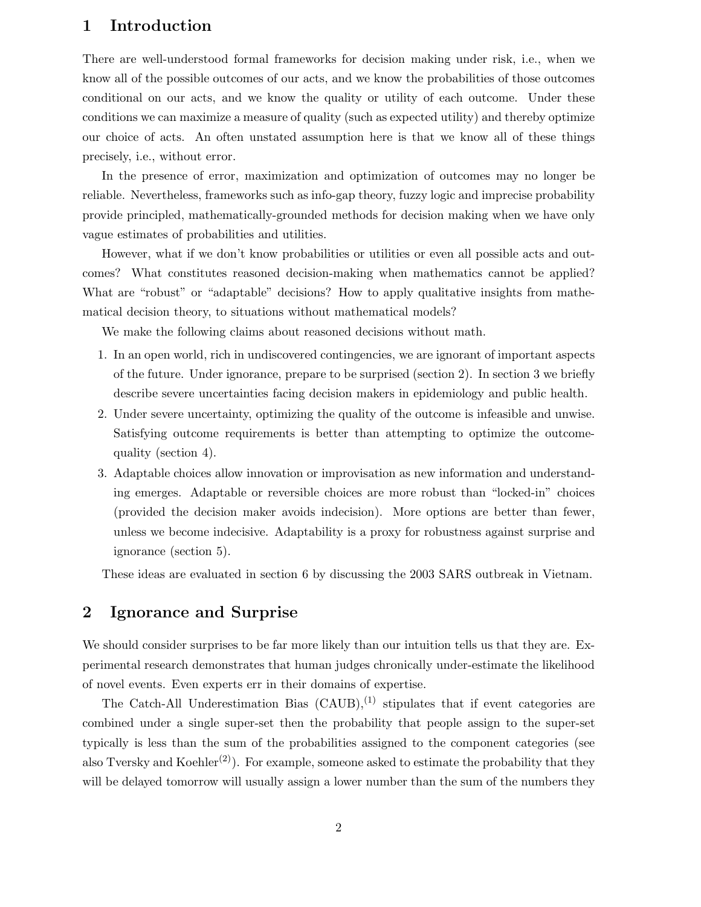# 1 Introduction

There are well-understood formal frameworks for decision making under risk, i.e., when we know all of the possible outcomes of our acts, and we know the probabilities of those outcomes conditional on our acts, and we know the quality or utility of each outcome. Under these conditions we can maximize a measure of quality (such as expected utility) and thereby optimize our choice of acts. An often unstated assumption here is that we know all of these things precisely, i.e., without error.

In the presence of error, maximization and optimization of outcomes may no longer be reliable. Nevertheless, frameworks such as info-gap theory, fuzzy logic and imprecise probability provide principled, mathematically-grounded methods for decision making when we have only vague estimates of probabilities and utilities.

However, what if we don't know probabilities or utilities or even all possible acts and outcomes? What constitutes reasoned decision-making when mathematics cannot be applied? What are "robust" or "adaptable" decisions? How to apply qualitative insights from mathematical decision theory, to situations without mathematical models?

We make the following claims about reasoned decisions without math.

- 1. In an open world, rich in undiscovered contingencies, we are ignorant of important aspects of the future. Under ignorance, prepare to be surprised (section 2). In section 3 we briefly describe severe uncertainties facing decision makers in epidemiology and public health.
- 2. Under severe uncertainty, optimizing the quality of the outcome is infeasible and unwise. Satisfying outcome requirements is better than attempting to optimize the outcomequality (section 4).
- 3. Adaptable choices allow innovation or improvisation as new information and understanding emerges. Adaptable or reversible choices are more robust than "locked-in" choices (provided the decision maker avoids indecision). More options are better than fewer, unless we become indecisive. Adaptability is a proxy for robustness against surprise and ignorance (section 5).

These ideas are evaluated in section 6 by discussing the 2003 SARS outbreak in Vietnam.

### 2 Ignorance and Surprise

We should consider surprises to be far more likely than our intuition tells us that they are. Experimental research demonstrates that human judges chronically under-estimate the likelihood of novel events. Even experts err in their domains of expertise.

The Catch-All Underestimation Bias  $(CAUB)$ ,<sup>(1)</sup> stipulates that if event categories are combined under a single super-set then the probability that people assign to the super-set typically is less than the sum of the probabilities assigned to the component categories (see also Tversky and Koehler<sup>(2)</sup>). For example, someone asked to estimate the probability that they will be delayed tomorrow will usually assign a lower number than the sum of the numbers they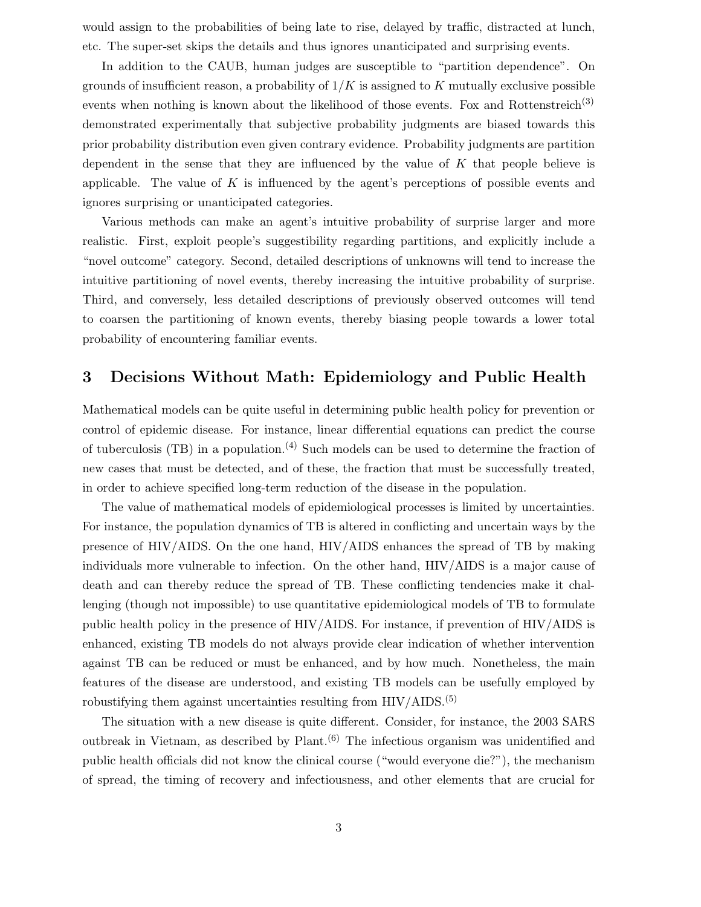would assign to the probabilities of being late to rise, delayed by traffic, distracted at lunch, etc. The super-set skips the details and thus ignores unanticipated and surprising events.

In addition to the CAUB, human judges are susceptible to "partition dependence". On grounds of insufficient reason, a probability of  $1/K$  is assigned to K mutually exclusive possible events when nothing is known about the likelihood of those events. Fox and Rottenstreich<sup>(3)</sup> demonstrated experimentally that subjective probability judgments are biased towards this prior probability distribution even given contrary evidence. Probability judgments are partition dependent in the sense that they are influenced by the value of  $K$  that people believe is applicable. The value of  $K$  is influenced by the agent's perceptions of possible events and ignores surprising or unanticipated categories.

Various methods can make an agent's intuitive probability of surprise larger and more realistic. First, exploit people's suggestibility regarding partitions, and explicitly include a "novel outcome" category. Second, detailed descriptions of unknowns will tend to increase the intuitive partitioning of novel events, thereby increasing the intuitive probability of surprise. Third, and conversely, less detailed descriptions of previously observed outcomes will tend to coarsen the partitioning of known events, thereby biasing people towards a lower total probability of encountering familiar events.

### 3 Decisions Without Math: Epidemiology and Public Health

Mathematical models can be quite useful in determining public health policy for prevention or control of epidemic disease. For instance, linear differential equations can predict the course of tuberculosis (TB) in a population.<sup>(4)</sup> Such models can be used to determine the fraction of new cases that must be detected, and of these, the fraction that must be successfully treated, in order to achieve specified long-term reduction of the disease in the population.

The value of mathematical models of epidemiological processes is limited by uncertainties. For instance, the population dynamics of TB is altered in conflicting and uncertain ways by the presence of HIV/AIDS. On the one hand, HIV/AIDS enhances the spread of TB by making individuals more vulnerable to infection. On the other hand, HIV/AIDS is a major cause of death and can thereby reduce the spread of TB. These conflicting tendencies make it challenging (though not impossible) to use quantitative epidemiological models of TB to formulate public health policy in the presence of HIV/AIDS. For instance, if prevention of HIV/AIDS is enhanced, existing TB models do not always provide clear indication of whether intervention against TB can be reduced or must be enhanced, and by how much. Nonetheless, the main features of the disease are understood, and existing TB models can be usefully employed by robustifying them against uncertainties resulting from HIV/AIDS.(5)

The situation with a new disease is quite different. Consider, for instance, the 2003 SARS outbreak in Vietnam, as described by  $Plant.(6)$  The infectious organism was unidentified and public health officials did not know the clinical course ("would everyone die?"), the mechanism of spread, the timing of recovery and infectiousness, and other elements that are crucial for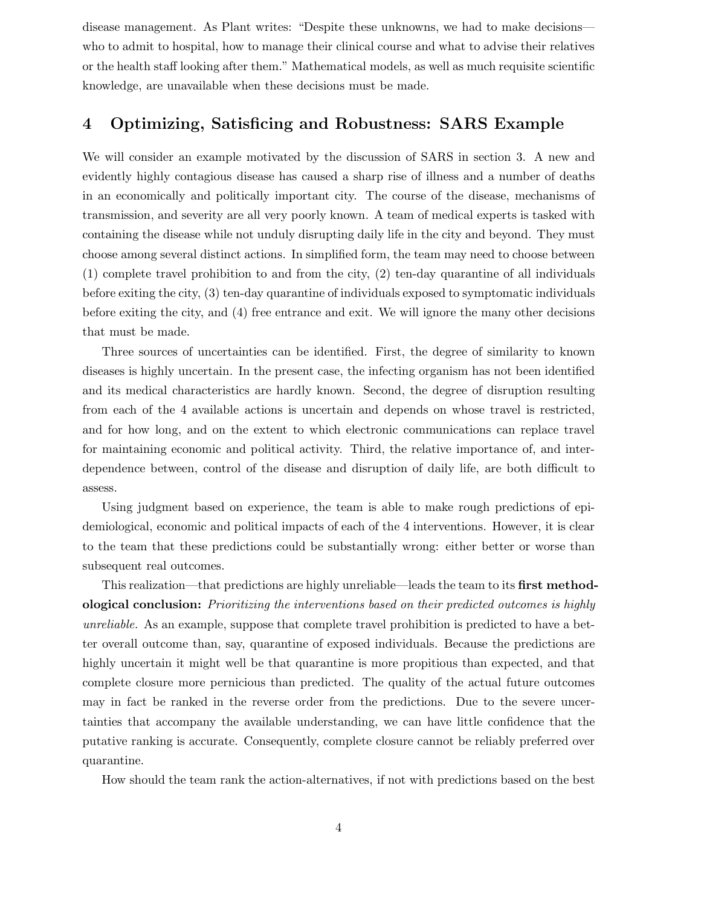disease management. As Plant writes: "Despite these unknowns, we had to make decisions who to admit to hospital, how to manage their clinical course and what to advise their relatives or the health staff looking after them." Mathematical models, as well as much requisite scientific knowledge, are unavailable when these decisions must be made.

### 4 Optimizing, Satisficing and Robustness: SARS Example

We will consider an example motivated by the discussion of SARS in section 3. A new and evidently highly contagious disease has caused a sharp rise of illness and a number of deaths in an economically and politically important city. The course of the disease, mechanisms of transmission, and severity are all very poorly known. A team of medical experts is tasked with containing the disease while not unduly disrupting daily life in the city and beyond. They must choose among several distinct actions. In simplified form, the team may need to choose between (1) complete travel prohibition to and from the city, (2) ten-day quarantine of all individuals before exiting the city, (3) ten-day quarantine of individuals exposed to symptomatic individuals before exiting the city, and (4) free entrance and exit. We will ignore the many other decisions that must be made.

Three sources of uncertainties can be identified. First, the degree of similarity to known diseases is highly uncertain. In the present case, the infecting organism has not been identified and its medical characteristics are hardly known. Second, the degree of disruption resulting from each of the 4 available actions is uncertain and depends on whose travel is restricted, and for how long, and on the extent to which electronic communications can replace travel for maintaining economic and political activity. Third, the relative importance of, and interdependence between, control of the disease and disruption of daily life, are both difficult to assess.

Using judgment based on experience, the team is able to make rough predictions of epidemiological, economic and political impacts of each of the 4 interventions. However, it is clear to the team that these predictions could be substantially wrong: either better or worse than subsequent real outcomes.

This realization—that predictions are highly unreliable—leads the team to its **first method**ological conclusion: Prioritizing the interventions based on their predicted outcomes is highly unreliable. As an example, suppose that complete travel prohibition is predicted to have a better overall outcome than, say, quarantine of exposed individuals. Because the predictions are highly uncertain it might well be that quarantine is more propitious than expected, and that complete closure more pernicious than predicted. The quality of the actual future outcomes may in fact be ranked in the reverse order from the predictions. Due to the severe uncertainties that accompany the available understanding, we can have little confidence that the putative ranking is accurate. Consequently, complete closure cannot be reliably preferred over quarantine.

How should the team rank the action-alternatives, if not with predictions based on the best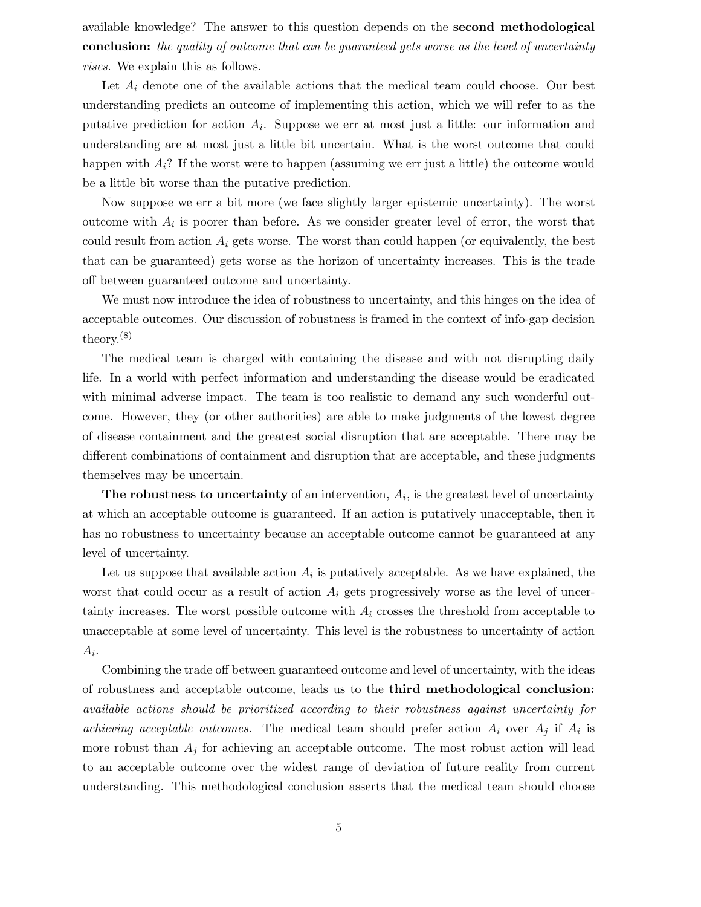available knowledge? The answer to this question depends on the second methodological conclusion: the quality of outcome that can be guaranteed gets worse as the level of uncertainty rises. We explain this as follows.

Let  $A_i$  denote one of the available actions that the medical team could choose. Our best understanding predicts an outcome of implementing this action, which we will refer to as the putative prediction for action  $A_i$ . Suppose we err at most just a little: our information and understanding are at most just a little bit uncertain. What is the worst outcome that could happen with  $A_i$ ? If the worst were to happen (assuming we err just a little) the outcome would be a little bit worse than the putative prediction.

Now suppose we err a bit more (we face slightly larger epistemic uncertainty). The worst outcome with  $A_i$  is poorer than before. As we consider greater level of error, the worst that could result from action  $A_i$  gets worse. The worst than could happen (or equivalently, the best that can be guaranteed) gets worse as the horizon of uncertainty increases. This is the trade off between guaranteed outcome and uncertainty.

We must now introduce the idea of robustness to uncertainty, and this hinges on the idea of acceptable outcomes. Our discussion of robustness is framed in the context of info-gap decision theory.(8)

The medical team is charged with containing the disease and with not disrupting daily life. In a world with perfect information and understanding the disease would be eradicated with minimal adverse impact. The team is too realistic to demand any such wonderful outcome. However, they (or other authorities) are able to make judgments of the lowest degree of disease containment and the greatest social disruption that are acceptable. There may be different combinations of containment and disruption that are acceptable, and these judgments themselves may be uncertain.

The robustness to uncertainty of an intervention,  $A_i$ , is the greatest level of uncertainty at which an acceptable outcome is guaranteed. If an action is putatively unacceptable, then it has no robustness to uncertainty because an acceptable outcome cannot be guaranteed at any level of uncertainty.

Let us suppose that available action  $A_i$  is putatively acceptable. As we have explained, the worst that could occur as a result of action  $A_i$  gets progressively worse as the level of uncertainty increases. The worst possible outcome with  $A_i$  crosses the threshold from acceptable to unacceptable at some level of uncertainty. This level is the robustness to uncertainty of action  $A_i$ .

Combining the trade off between guaranteed outcome and level of uncertainty, with the ideas of robustness and acceptable outcome, leads us to the third methodological conclusion: available actions should be prioritized according to their robustness against uncertainty for achieving acceptable outcomes. The medical team should prefer action  $A_i$  over  $A_j$  if  $A_i$  is more robust than  $A_j$  for achieving an acceptable outcome. The most robust action will lead to an acceptable outcome over the widest range of deviation of future reality from current understanding. This methodological conclusion asserts that the medical team should choose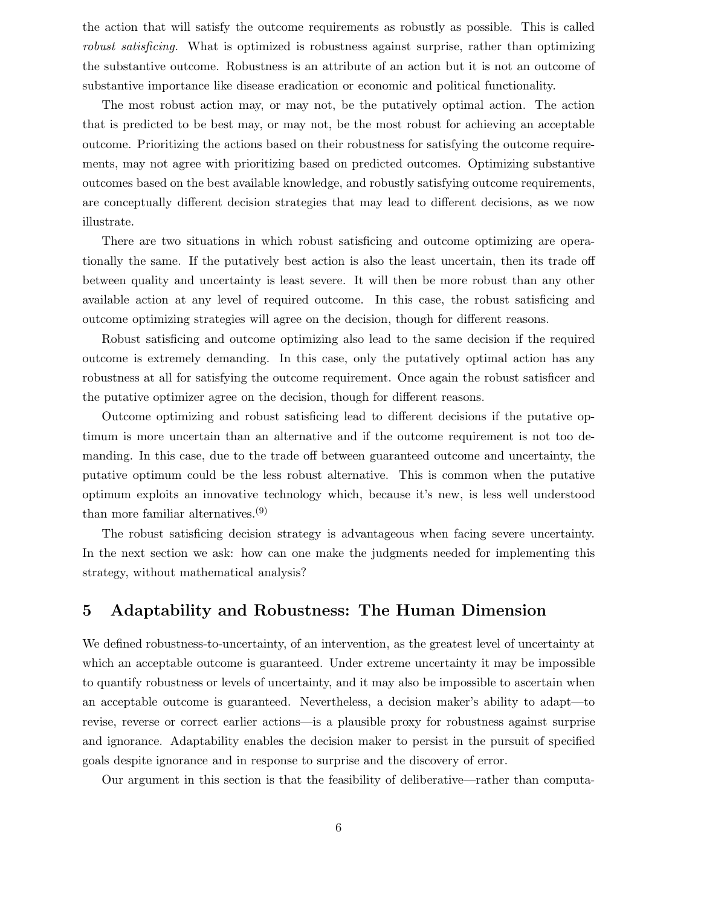the action that will satisfy the outcome requirements as robustly as possible. This is called robust satisficing. What is optimized is robustness against surprise, rather than optimizing the substantive outcome. Robustness is an attribute of an action but it is not an outcome of substantive importance like disease eradication or economic and political functionality.

The most robust action may, or may not, be the putatively optimal action. The action that is predicted to be best may, or may not, be the most robust for achieving an acceptable outcome. Prioritizing the actions based on their robustness for satisfying the outcome requirements, may not agree with prioritizing based on predicted outcomes. Optimizing substantive outcomes based on the best available knowledge, and robustly satisfying outcome requirements, are conceptually different decision strategies that may lead to different decisions, as we now illustrate.

There are two situations in which robust satisficing and outcome optimizing are operationally the same. If the putatively best action is also the least uncertain, then its trade off between quality and uncertainty is least severe. It will then be more robust than any other available action at any level of required outcome. In this case, the robust satisficing and outcome optimizing strategies will agree on the decision, though for different reasons.

Robust satisficing and outcome optimizing also lead to the same decision if the required outcome is extremely demanding. In this case, only the putatively optimal action has any robustness at all for satisfying the outcome requirement. Once again the robust satisficer and the putative optimizer agree on the decision, though for different reasons.

Outcome optimizing and robust satisficing lead to different decisions if the putative optimum is more uncertain than an alternative and if the outcome requirement is not too demanding. In this case, due to the trade off between guaranteed outcome and uncertainty, the putative optimum could be the less robust alternative. This is common when the putative optimum exploits an innovative technology which, because it's new, is less well understood than more familiar alternatives.(9)

The robust satisficing decision strategy is advantageous when facing severe uncertainty. In the next section we ask: how can one make the judgments needed for implementing this strategy, without mathematical analysis?

## 5 Adaptability and Robustness: The Human Dimension

We defined robustness-to-uncertainty, of an intervention, as the greatest level of uncertainty at which an acceptable outcome is guaranteed. Under extreme uncertainty it may be impossible to quantify robustness or levels of uncertainty, and it may also be impossible to ascertain when an acceptable outcome is guaranteed. Nevertheless, a decision maker's ability to adapt—to revise, reverse or correct earlier actions—is a plausible proxy for robustness against surprise and ignorance. Adaptability enables the decision maker to persist in the pursuit of specified goals despite ignorance and in response to surprise and the discovery of error.

Our argument in this section is that the feasibility of deliberative—rather than computa-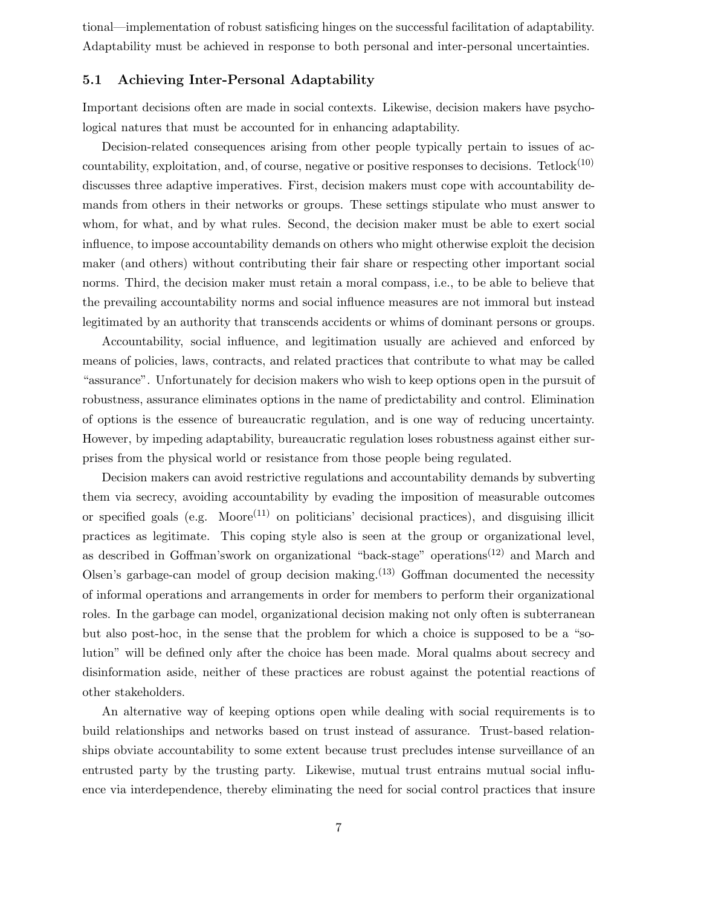tional—implementation of robust satisficing hinges on the successful facilitation of adaptability. Adaptability must be achieved in response to both personal and inter-personal uncertainties.

#### 5.1 Achieving Inter-Personal Adaptability

Important decisions often are made in social contexts. Likewise, decision makers have psychological natures that must be accounted for in enhancing adaptability.

Decision-related consequences arising from other people typically pertain to issues of accountability, exploitation, and, of course, negative or positive responses to decisions. Tetlock $(10)$ discusses three adaptive imperatives. First, decision makers must cope with accountability demands from others in their networks or groups. These settings stipulate who must answer to whom, for what, and by what rules. Second, the decision maker must be able to exert social influence, to impose accountability demands on others who might otherwise exploit the decision maker (and others) without contributing their fair share or respecting other important social norms. Third, the decision maker must retain a moral compass, i.e., to be able to believe that the prevailing accountability norms and social influence measures are not immoral but instead legitimated by an authority that transcends accidents or whims of dominant persons or groups.

Accountability, social influence, and legitimation usually are achieved and enforced by means of policies, laws, contracts, and related practices that contribute to what may be called "assurance". Unfortunately for decision makers who wish to keep options open in the pursuit of robustness, assurance eliminates options in the name of predictability and control. Elimination of options is the essence of bureaucratic regulation, and is one way of reducing uncertainty. However, by impeding adaptability, bureaucratic regulation loses robustness against either surprises from the physical world or resistance from those people being regulated.

Decision makers can avoid restrictive regulations and accountability demands by subverting them via secrecy, avoiding accountability by evading the imposition of measurable outcomes or specified goals (e.g.  $Moore<sup>(11)</sup>$  on politicians' decisional practices), and disguising illicit practices as legitimate. This coping style also is seen at the group or organizational level, as described in Goffman'swork on organizational "back-stage" operations<sup>(12)</sup> and March and Olsen's garbage-can model of group decision making. $(13)$  Goffman documented the necessity of informal operations and arrangements in order for members to perform their organizational roles. In the garbage can model, organizational decision making not only often is subterranean but also post-hoc, in the sense that the problem for which a choice is supposed to be a "solution" will be defined only after the choice has been made. Moral qualms about secrecy and disinformation aside, neither of these practices are robust against the potential reactions of other stakeholders.

An alternative way of keeping options open while dealing with social requirements is to build relationships and networks based on trust instead of assurance. Trust-based relationships obviate accountability to some extent because trust precludes intense surveillance of an entrusted party by the trusting party. Likewise, mutual trust entrains mutual social influence via interdependence, thereby eliminating the need for social control practices that insure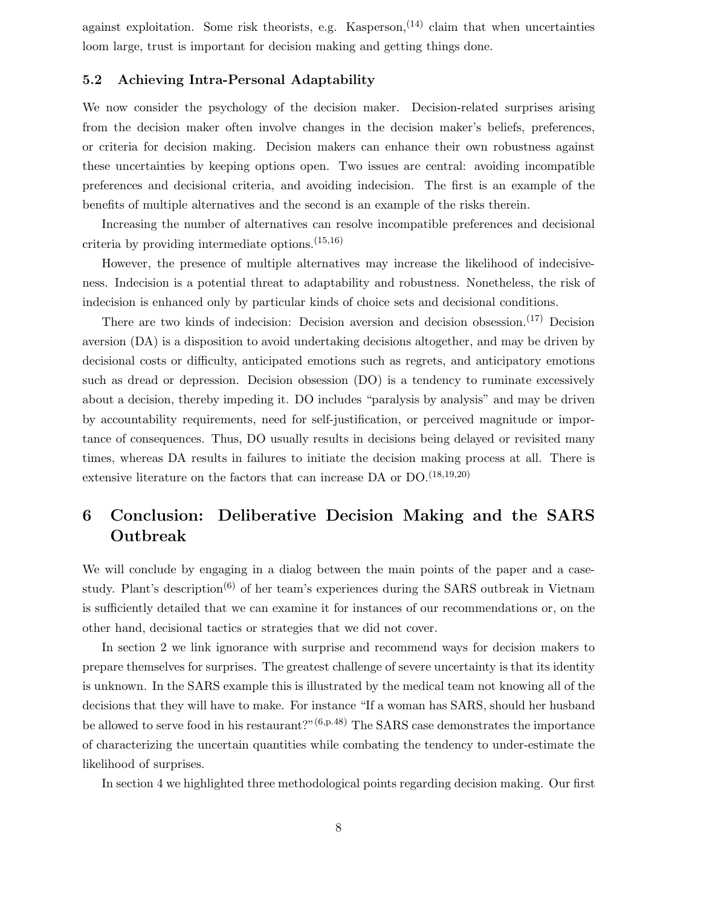against exploitation. Some risk theorists, e.g. Kasperson,  $(14)$  claim that when uncertainties loom large, trust is important for decision making and getting things done.

#### 5.2 Achieving Intra-Personal Adaptability

We now consider the psychology of the decision maker. Decision-related surprises arising from the decision maker often involve changes in the decision maker's beliefs, preferences, or criteria for decision making. Decision makers can enhance their own robustness against these uncertainties by keeping options open. Two issues are central: avoiding incompatible preferences and decisional criteria, and avoiding indecision. The first is an example of the benefits of multiple alternatives and the second is an example of the risks therein.

Increasing the number of alternatives can resolve incompatible preferences and decisional criteria by providing intermediate options. $(15,16)$ 

However, the presence of multiple alternatives may increase the likelihood of indecisiveness. Indecision is a potential threat to adaptability and robustness. Nonetheless, the risk of indecision is enhanced only by particular kinds of choice sets and decisional conditions.

There are two kinds of indecision: Decision aversion and decision obsession.<sup>(17)</sup> Decision aversion (DA) is a disposition to avoid undertaking decisions altogether, and may be driven by decisional costs or difficulty, anticipated emotions such as regrets, and anticipatory emotions such as dread or depression. Decision obsession (DO) is a tendency to ruminate excessively about a decision, thereby impeding it. DO includes "paralysis by analysis" and may be driven by accountability requirements, need for self-justification, or perceived magnitude or importance of consequences. Thus, DO usually results in decisions being delayed or revisited many times, whereas DA results in failures to initiate the decision making process at all. There is extensive literature on the factors that can increase DA or  $DO.$ <sup>(18,19,20)</sup>

# 6 Conclusion: Deliberative Decision Making and the SARS Outbreak

We will conclude by engaging in a dialog between the main points of the paper and a casestudy. Plant's description<sup>(6)</sup> of her team's experiences during the SARS outbreak in Vietnam is sufficiently detailed that we can examine it for instances of our recommendations or, on the other hand, decisional tactics or strategies that we did not cover.

In section 2 we link ignorance with surprise and recommend ways for decision makers to prepare themselves for surprises. The greatest challenge of severe uncertainty is that its identity is unknown. In the SARS example this is illustrated by the medical team not knowing all of the decisions that they will have to make. For instance "If a woman has SARS, should her husband be allowed to serve food in his restaurant?" $(6,p.48)$  The SARS case demonstrates the importance of characterizing the uncertain quantities while combating the tendency to under-estimate the likelihood of surprises.

In section 4 we highlighted three methodological points regarding decision making. Our first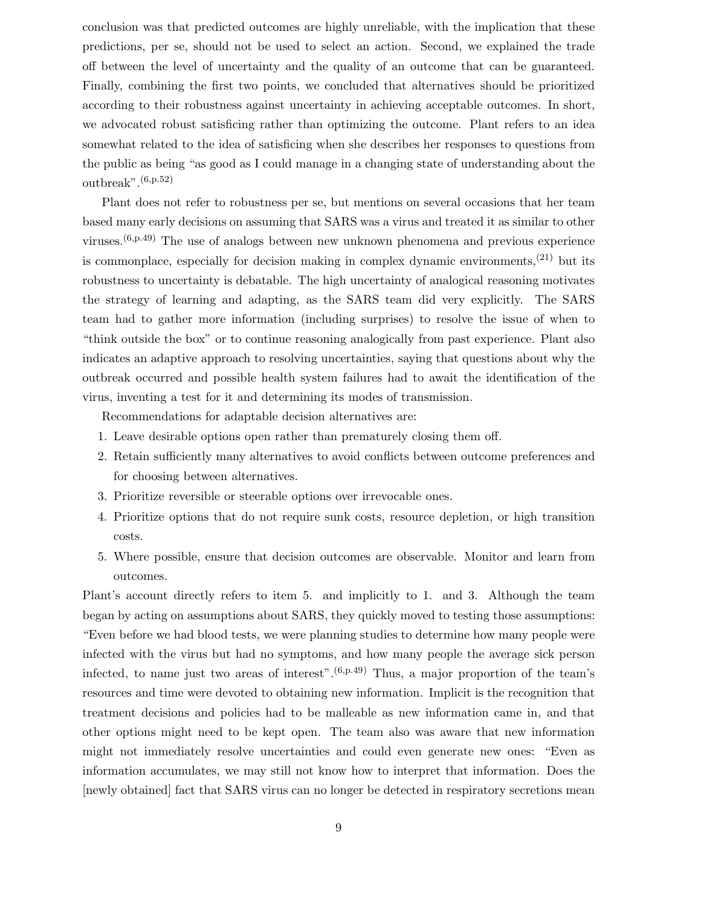conclusion was that predicted outcomes are highly unreliable, with the implication that these predictions, per se, should not be used to select an action. Second, we explained the trade off between the level of uncertainty and the quality of an outcome that can be guaranteed. Finally, combining the first two points, we concluded that alternatives should be prioritized according to their robustness against uncertainty in achieving acceptable outcomes. In short, we advocated robust satisficing rather than optimizing the outcome. Plant refers to an idea somewhat related to the idea of satisficing when she describes her responses to questions from the public as being "as good as I could manage in a changing state of understanding about the outbreak".(6,p.52)

Plant does not refer to robustness per se, but mentions on several occasions that her team based many early decisions on assuming that SARS was a virus and treated it as similar to other viruses.<sup> $(6,p.49)$ </sup> The use of analogs between new unknown phenomena and previous experience is commonplace, especially for decision making in complex dynamic environments,<sup> $(21)$ </sup> but its robustness to uncertainty is debatable. The high uncertainty of analogical reasoning motivates the strategy of learning and adapting, as the SARS team did very explicitly. The SARS team had to gather more information (including surprises) to resolve the issue of when to "think outside the box" or to continue reasoning analogically from past experience. Plant also indicates an adaptive approach to resolving uncertainties, saying that questions about why the outbreak occurred and possible health system failures had to await the identification of the virus, inventing a test for it and determining its modes of transmission.

Recommendations for adaptable decision alternatives are:

- 1. Leave desirable options open rather than prematurely closing them off.
- 2. Retain sufficiently many alternatives to avoid conflicts between outcome preferences and for choosing between alternatives.
- 3. Prioritize reversible or steerable options over irrevocable ones.
- 4. Prioritize options that do not require sunk costs, resource depletion, or high transition costs.
- 5. Where possible, ensure that decision outcomes are observable. Monitor and learn from outcomes.

Plant's account directly refers to item 5. and implicitly to 1. and 3. Although the team began by acting on assumptions about SARS, they quickly moved to testing those assumptions: "Even before we had blood tests, we were planning studies to determine how many people were infected with the virus but had no symptoms, and how many people the average sick person infected, to name just two areas of interest".<sup> $(6,p.49)$ </sup> Thus, a major proportion of the team's resources and time were devoted to obtaining new information. Implicit is the recognition that treatment decisions and policies had to be malleable as new information came in, and that other options might need to be kept open. The team also was aware that new information might not immediately resolve uncertainties and could even generate new ones: "Even as information accumulates, we may still not know how to interpret that information. Does the [newly obtained] fact that SARS virus can no longer be detected in respiratory secretions mean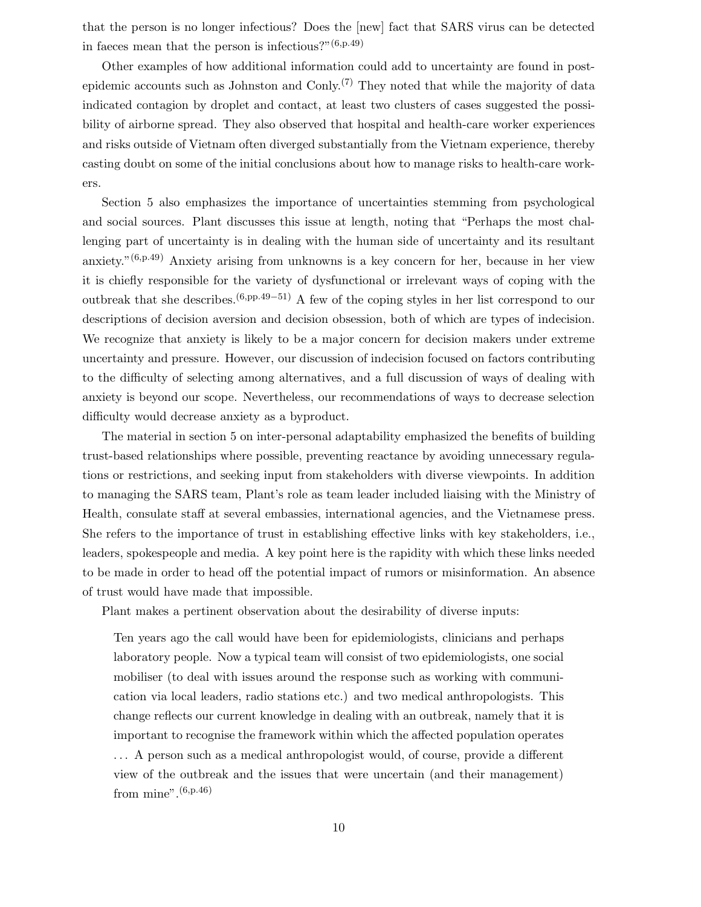that the person is no longer infectious? Does the [new] fact that SARS virus can be detected in faeces mean that the person is infectious?" $(6,p.49)$ 

Other examples of how additional information could add to uncertainty are found in postepidemic accounts such as Johnston and Conly.<sup> $(7)$ </sup> They noted that while the majority of data indicated contagion by droplet and contact, at least two clusters of cases suggested the possibility of airborne spread. They also observed that hospital and health-care worker experiences and risks outside of Vietnam often diverged substantially from the Vietnam experience, thereby casting doubt on some of the initial conclusions about how to manage risks to health-care workers.

Section 5 also emphasizes the importance of uncertainties stemming from psychological and social sources. Plant discusses this issue at length, noting that "Perhaps the most challenging part of uncertainty is in dealing with the human side of uncertainty and its resultant anxiety." $(6,p.49)$  Anxiety arising from unknowns is a key concern for her, because in her view it is chiefly responsible for the variety of dysfunctional or irrelevant ways of coping with the outbreak that she describes.(6,pp.49−51) A few of the coping styles in her list correspond to our descriptions of decision aversion and decision obsession, both of which are types of indecision. We recognize that anxiety is likely to be a major concern for decision makers under extreme uncertainty and pressure. However, our discussion of indecision focused on factors contributing to the difficulty of selecting among alternatives, and a full discussion of ways of dealing with anxiety is beyond our scope. Nevertheless, our recommendations of ways to decrease selection difficulty would decrease anxiety as a byproduct.

The material in section 5 on inter-personal adaptability emphasized the benefits of building trust-based relationships where possible, preventing reactance by avoiding unnecessary regulations or restrictions, and seeking input from stakeholders with diverse viewpoints. In addition to managing the SARS team, Plant's role as team leader included liaising with the Ministry of Health, consulate staff at several embassies, international agencies, and the Vietnamese press. She refers to the importance of trust in establishing effective links with key stakeholders, i.e., leaders, spokespeople and media. A key point here is the rapidity with which these links needed to be made in order to head off the potential impact of rumors or misinformation. An absence of trust would have made that impossible.

Plant makes a pertinent observation about the desirability of diverse inputs:

Ten years ago the call would have been for epidemiologists, clinicians and perhaps laboratory people. Now a typical team will consist of two epidemiologists, one social mobiliser (to deal with issues around the response such as working with communication via local leaders, radio stations etc.) and two medical anthropologists. This change reflects our current knowledge in dealing with an outbreak, namely that it is important to recognise the framework within which the affected population operates . . . A person such as a medical anthropologist would, of course, provide a different view of the outbreak and the issues that were uncertain (and their management) from mine". $^{(6,p.46)}$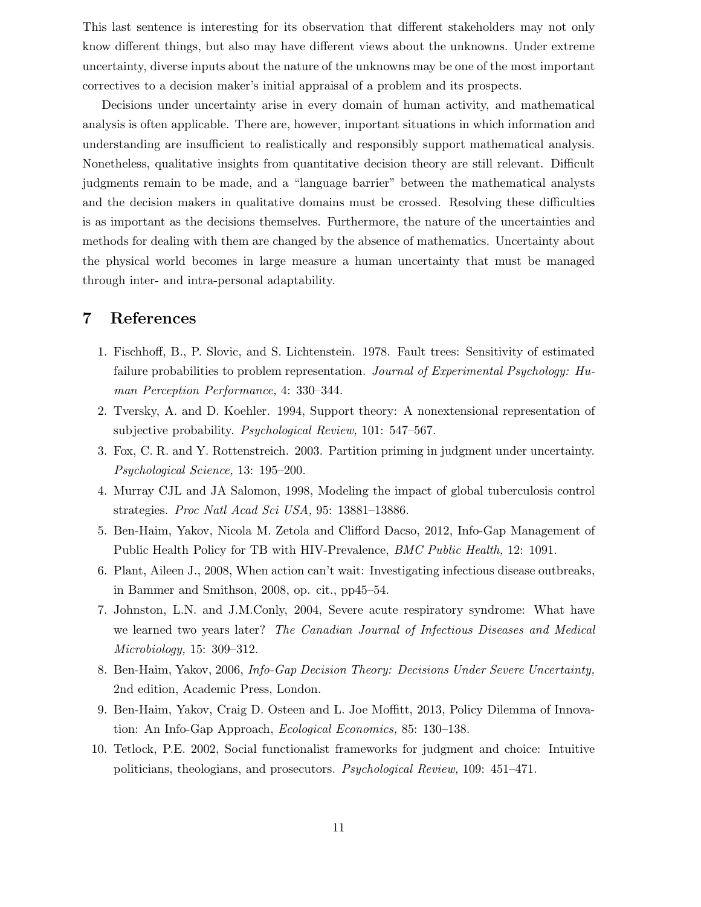This last sentence is interesting for its observation that different stakeholders may not only know different things, but also may have different views about the unknowns. Under extreme uncertainty, diverse inputs about the nature of the unknowns may be one of the most important correctives to a decision maker's initial appraisal of a problem and its prospects.

Decisions under uncertainty arise in every domain of human activity, and mathematical analysis is often applicable. There are, however, important situations in which information and understanding are insufficient to realistically and responsibly support mathematical analysis. Nonetheless, qualitative insights from quantitative decision theory are still relevant. Difficult judgments remain to be made, and a "language barrier" between the mathematical analysts and the decision makers in qualitative domains must be crossed. Resolving these difficulties is as important as the decisions themselves. Furthermore, the nature of the uncertainties and methods for dealing with them are changed by the absence of mathematics. Uncertainty about the physical world becomes in large measure a human uncertainty that must be managed through inter- and intra-personal adaptability.

### 7 References

- 1. Fischhoff, B., P. Slovic, and S. Lichtenstein. 1978. Fault trees: Sensitivity of estimated failure probabilities to problem representation. Journal of Experimental Psychology: Human Perception Performance, 4: 330–344.
- 2. Tversky, A. and D. Koehler. 1994, Support theory: A nonextensional representation of subjective probability. Psychological Review, 101: 547–567.
- 3. Fox, C. R. and Y. Rottenstreich. 2003. Partition priming in judgment under uncertainty. Psychological Science, 13: 195–200.
- 4. Murray CJL and JA Salomon, 1998, Modeling the impact of global tuberculosis control strategies. Proc Natl Acad Sci USA, 95: 13881–13886.
- 5. Ben-Haim, Yakov, Nicola M. Zetola and Clifford Dacso, 2012, Info-Gap Management of Public Health Policy for TB with HIV-Prevalence, BMC Public Health, 12: 1091.
- 6. Plant, Aileen J., 2008, When action can't wait: Investigating infectious disease outbreaks, in Bammer and Smithson, 2008, op. cit., pp45–54.
- 7. Johnston, L.N. and J.M.Conly, 2004, Severe acute respiratory syndrome: What have we learned two years later? The Canadian Journal of Infectious Diseases and Medical Microbiology, 15: 309–312.
- 8. Ben-Haim, Yakov, 2006, Info-Gap Decision Theory: Decisions Under Severe Uncertainty, 2nd edition, Academic Press, London.
- 9. Ben-Haim, Yakov, Craig D. Osteen and L. Joe Moffitt, 2013, Policy Dilemma of Innovation: An Info-Gap Approach, Ecological Economics, 85: 130–138.
- 10. Tetlock, P.E. 2002, Social functionalist frameworks for judgment and choice: Intuitive politicians, theologians, and prosecutors. Psychological Review, 109: 451–471.